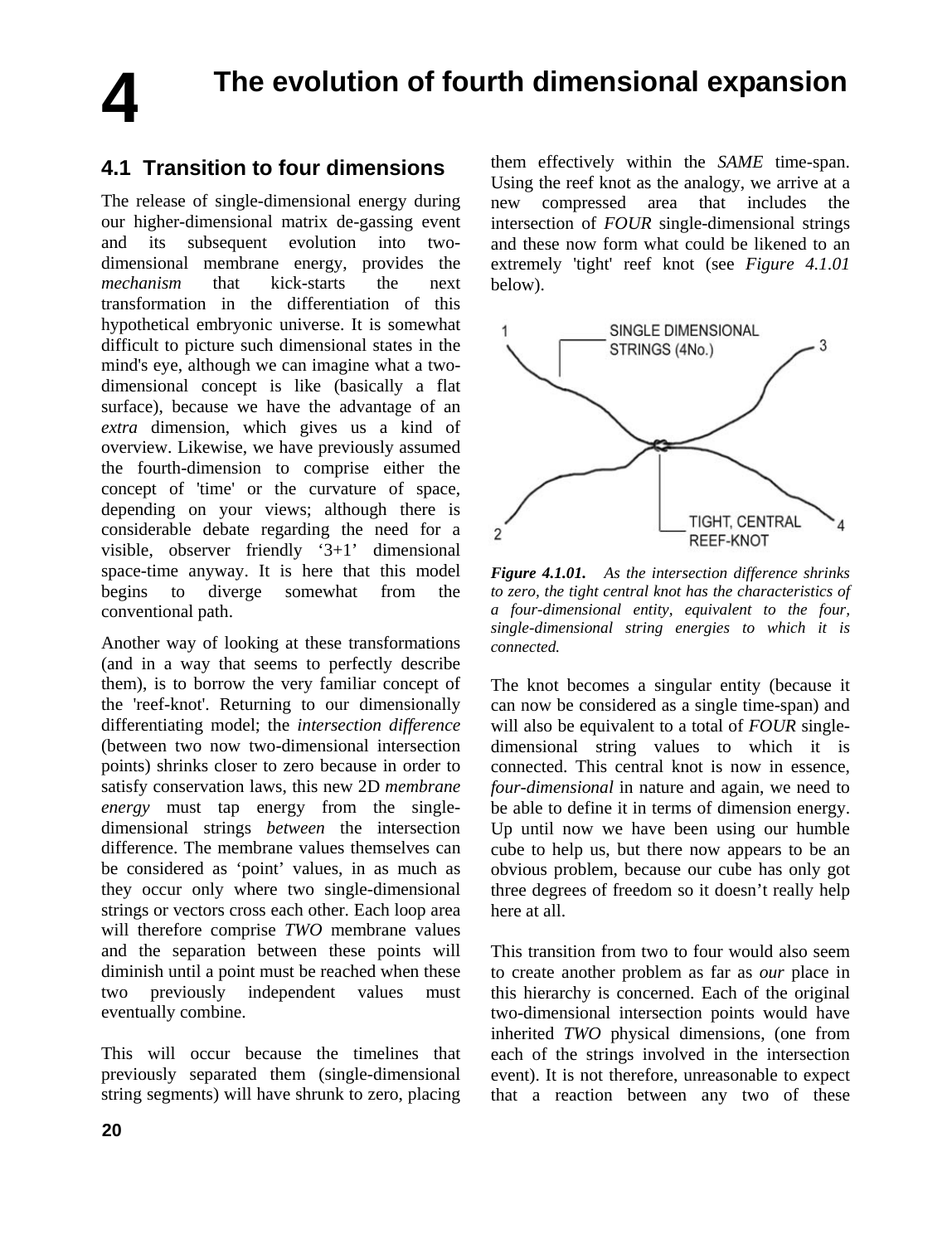**4**

## **The evolution of fourth dimensional expansion**

## **4.1 Transition to four dimensions**

The release of single-dimensional energy during our higher-dimensional matrix de-gassing event and its subsequent evolution into twodimensional membrane energy, provides the *mechanism* that kick-starts the next transformation in the differentiation of this hypothetical embryonic universe. It is somewhat difficult to picture such dimensional states in the mind's eye, although we can imagine what a twodimensional concept is like (basically a flat surface), because we have the advantage of an *extra* dimension, which gives us a kind of overview. Likewise, we have previously assumed the fourth-dimension to comprise either the concept of 'time' or the curvature of space, depending on your views; although there is considerable debate regarding the need for a visible, observer friendly '3+1' dimensional space-time anyway. It is here that this model begins to diverge somewhat from the conventional path.

Another way of looking at these transformations (and in a way that seems to perfectly describe them), is to borrow the very familiar concept of the 'reef-knot'. Returning to our dimensionally differentiating model; the *intersection difference* (between two now two-dimensional intersection points) shrinks closer to zero because in order to satisfy conservation laws, this new 2D *membrane energy* must tap energy from the singledimensional strings *between* the intersection difference. The membrane values themselves can be considered as 'point' values, in as much as they occur only where two single-dimensional strings or vectors cross each other. Each loop area will therefore comprise *TWO* membrane values and the separation between these points will diminish until a point must be reached when these two previously independent values must eventually combine.

This will occur because the timelines that previously separated them (single-dimensional string segments) will have shrunk to zero, placing them effectively within the *SAME* time-span. Using the reef knot as the analogy, we arrive at a<br>new compressed area that includes the area that includes the intersection of *FOUR* single-dimensional strings and these now form what could be likened to an extremely 'tight' reef knot (see *Figure 4.1.01* below).



*Figure 4.1.01. As the intersection difference shrinks to zero, the tight central knot has the characteristics of a four-dimensional entity, equivalent to the four, single-dimensional string energies to which it is connected.* 

The knot becomes a singular entity (because it can now be considered as a single time-span) and will also be equivalent to a total of *FOUR* singledimensional string values to which it is connected. This central knot is now in essence, *four-dimensional* in nature and again, we need to be able to define it in terms of dimension energy. Up until now we have been using our humble cube to help us, but there now appears to be an obvious problem, because our cube has only got three degrees of freedom so it doesn't really help here at all.

This transition from two to four would also seem to create another problem as far as *our* place in this hierarchy is concerned. Each of the original two-dimensional intersection points would have inherited *TWO* physical dimensions, (one from each of the strings involved in the intersection event). It is not therefore, unreasonable to expect that a reaction between any two of these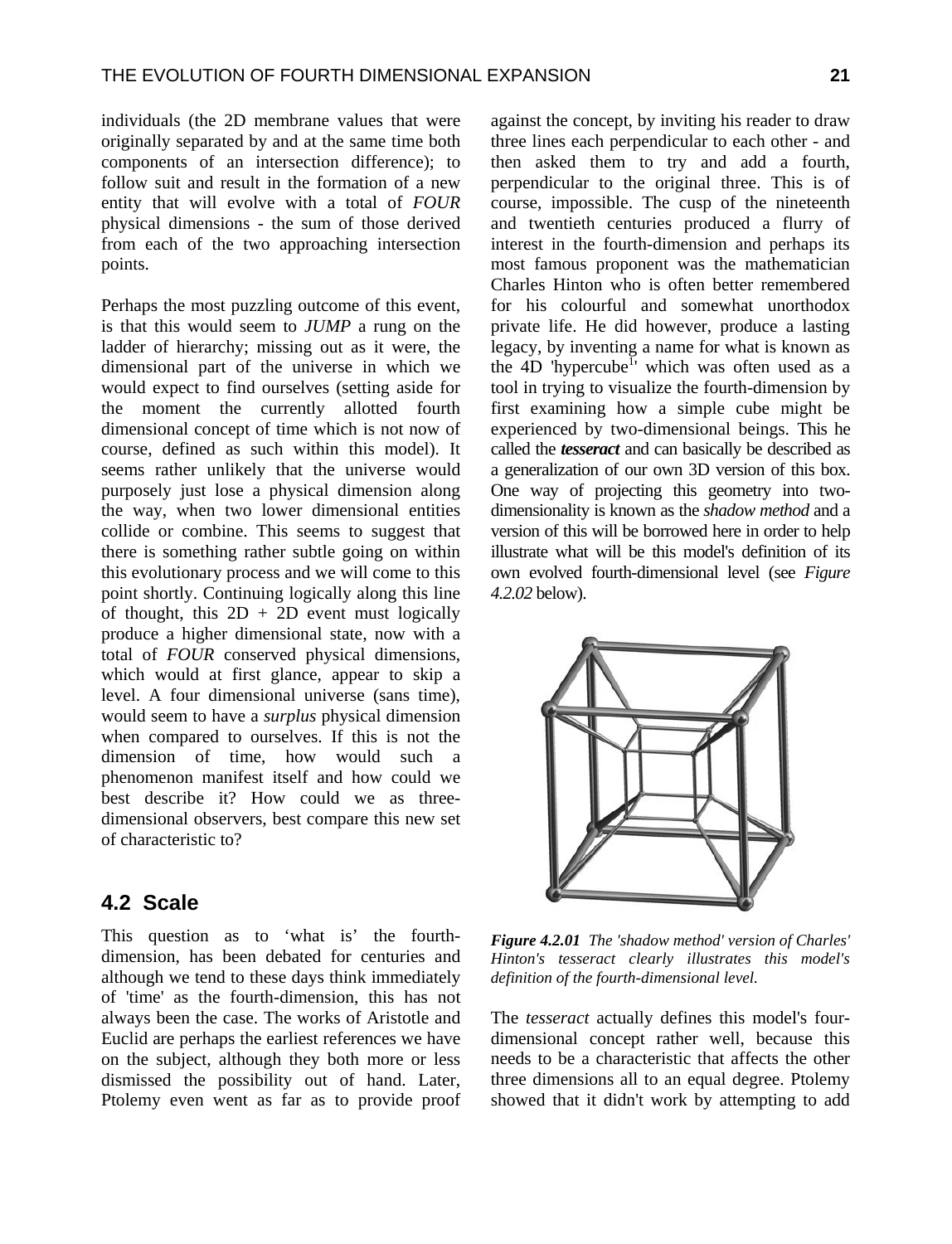individuals (the 2D membrane values that were originally separated by and at the same time both components of an intersection difference); to follow suit and result in the formation of a new entity that will evolve with a total of *FOUR* physical dimensions - the sum of those derived from each of the two approaching intersection points.

Perhaps the most puzzling outcome of this event, is that this would seem to *JUMP* a rung on the ladder of hierarchy; missing out as it were, the dimensional part of the universe in which we would expect to find ourselves (setting aside for the moment the currently allotted fourth dimensional concept of time which is not now of course, defined as such within this model). It seems rather unlikely that the universe would purposely just lose a physical dimension along the way, when two lower dimensional entities collide or combine. This seems to suggest that there is something rather subtle going on within this evolutionary process and we will come to this point shortly. Continuing logically along this line of thought, this  $2D + 2D$  event must logically produce a higher dimensional state, now with a total of *FOUR* conserved physical dimensions, which would at first glance, appear to skip a level. A four dimensional universe (sans time), would seem to have a *surplus* physical dimension when compared to ourselves. If this is not the dimension of time, how would such a phenomenon manifest itself and how could we best describe it? How could we as threedimensional observers, best compare this new set of characteristic to?

## **4.2 Scale**

This question as to 'what is' the fourthdimension, has been debated for centuries and although we tend to these days think immediately of 'time' as the fourth-dimension, this has not always been the case. The works of Aristotle and Euclid are perhaps the earliest references we have on the subject, although they both more or less dismissed the possibility out of hand. Later, Ptolemy even went as far as to provide proof against the concept, by inviting his reader to draw three lines each perpendicular to each other - and then asked them to try and add a fourth, perpendicular to the original three. This is of course, impossible. The cusp of the nineteenth and twentieth centuries produced a flurry of interest in the fourth-dimension and perhaps its most famous proponent was the mathematician Charles Hinton who is often better remembered for his colourful and somewhat unorthodox private life. He did however, produce a lasting legacy, by inventing a name for what is known as the 4D 'hypercube<sup>1</sup>' which was often used as a tool in trying to visualize the fourth-dimension by first examining how a simple cube might be experienced by two-dimensional beings. This he called the *tesseract* and can basically be described as a generalization of our own 3D version of this box. One way of projecting this geometry into twodimensionality is known as the *shadow method* and a version of this will be borrowed here in order to help illustrate what will be this model's definition of its own evolved fourth-dimensional level (see *Figure 4.2.02* below).



*Figure 4.2.01 The 'shadow method' version of Charles' Hinton's tesseract clearly illustrates this model's definition of the fourth-dimensional level.*

The *tesseract* actually defines this model's fourdimensional concept rather well, because this needs to be a characteristic that affects the other three dimensions all to an equal degree. Ptolemy showed that it didn't work by attempting to add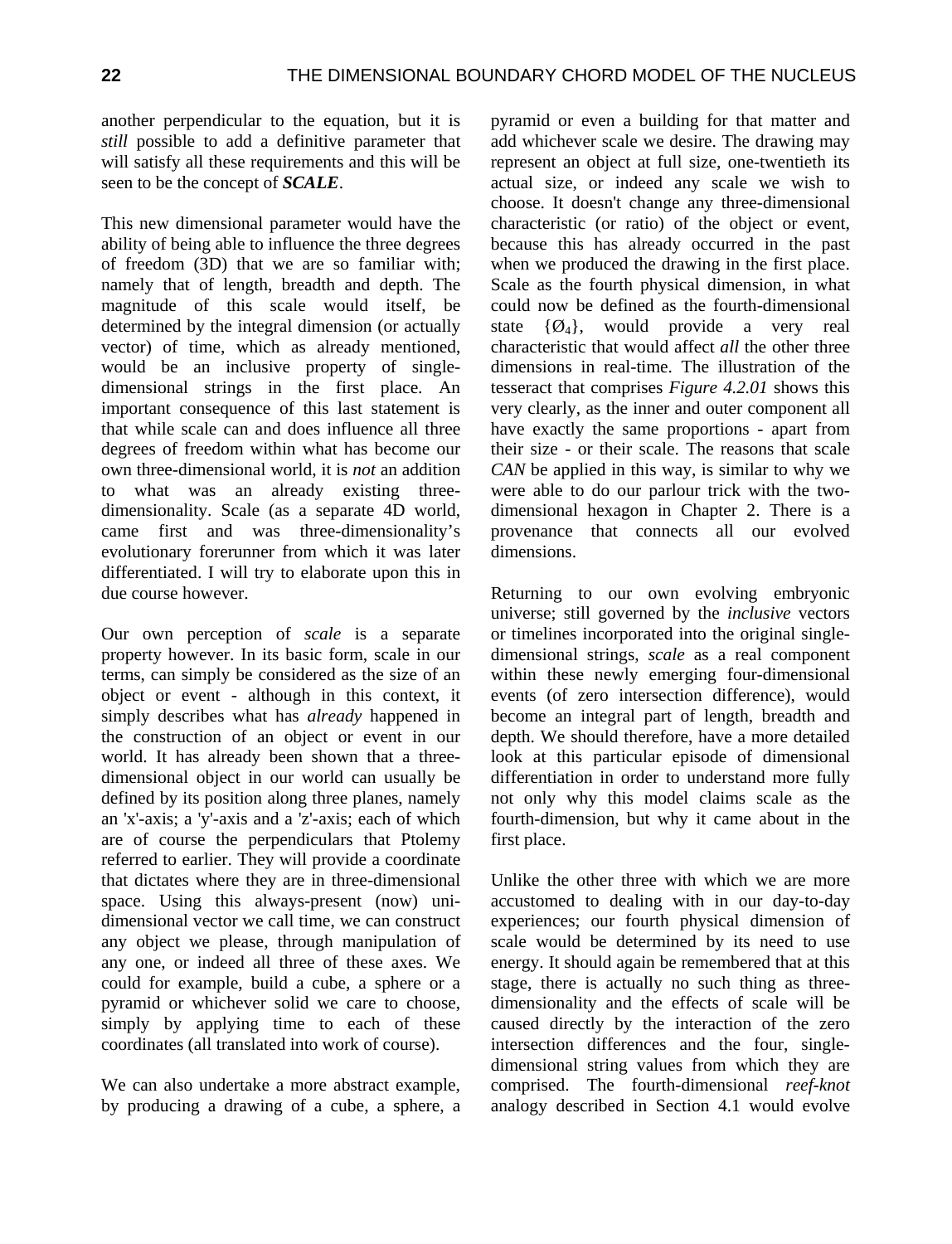another perpendicular to the equation, but it is *still* possible to add a definitive parameter that will satisfy all these requirements and this will be seen to be the concept of *SCALE*.

This new dimensional parameter would have the ability of being able to influence the three degrees of freedom (3D) that we are so familiar with; namely that of length, breadth and depth. The magnitude of this scale would itself, be determined by the integral dimension (or actually vector) of time, which as already mentioned, would be an inclusive property of singledimensional strings in the first place. An important consequence of this last statement is that while scale can and does influence all three degrees of freedom within what has become our own three-dimensional world, it is *not* an addition to what was an already existing threedimensionality. Scale (as a separate 4D world, came first and was three-dimensionality's evolutionary forerunner from which it was later differentiated. I will try to elaborate upon this in due course however.

Our own perception of *scale* is a separate property however. In its basic form, scale in our terms, can simply be considered as the size of an object or event - although in this context, it simply describes what has *already* happened in the construction of an object or event in our world. It has already been shown that a threedimensional object in our world can usually be defined by its position along three planes, namely an 'x'-axis; a 'y'-axis and a 'z'-axis; each of which are of course the perpendiculars that Ptolemy referred to earlier. They will provide a coordinate that dictates where they are in three-dimensional space. Using this always-present (now) unidimensional vector we call time, we can construct any object we please, through manipulation of any one, or indeed all three of these axes. We could for example, build a cube, a sphere or a pyramid or whichever solid we care to choose, simply by applying time to each of these coordinates (all translated into work of course).

We can also undertake a more abstract example, by producing a drawing of a cube, a sphere, a

pyramid or even a building for that matter and add whichever scale we desire. The drawing may represent an object at full size, one-twentieth its actual size, or indeed any scale we wish to choose. It doesn't change any three-dimensional characteristic (or ratio) of the object or event, because this has already occurred in the past when we produced the drawing in the first place. Scale as the fourth physical dimension, in what could now be defined as the fourth-dimensional state  $\{\emptyset_4\}$ , would provide a very real characteristic that would affect *all* the other three dimensions in real-time. The illustration of the tesseract that comprises *Figure 4.2.01* shows this very clearly, as the inner and outer component all have exactly the same proportions - apart from their size - or their scale. The reasons that scale *CAN* be applied in this way, is similar to why we were able to do our parlour trick with the twodimensional hexagon in Chapter 2. There is a provenance that connects all our evolved dimensions.

Returning to our own evolving embryonic universe; still governed by the *inclusive* vectors or timelines incorporated into the original singledimensional strings, *scale* as a real component within these newly emerging four-dimensional events (of zero intersection difference), would become an integral part of length, breadth and depth. We should therefore, have a more detailed look at this particular episode of dimensional differentiation in order to understand more fully not only why this model claims scale as the fourth-dimension, but why it came about in the first place.

Unlike the other three with which we are more accustomed to dealing with in our day-to-day experiences; our fourth physical dimension of scale would be determined by its need to use energy. It should again be remembered that at this stage, there is actually no such thing as threedimensionality and the effects of scale will be caused directly by the interaction of the zero intersection differences and the four, singledimensional string values from which they are comprised. The fourth-dimensional *reef-knot*  analogy described in Section 4.1 would evolve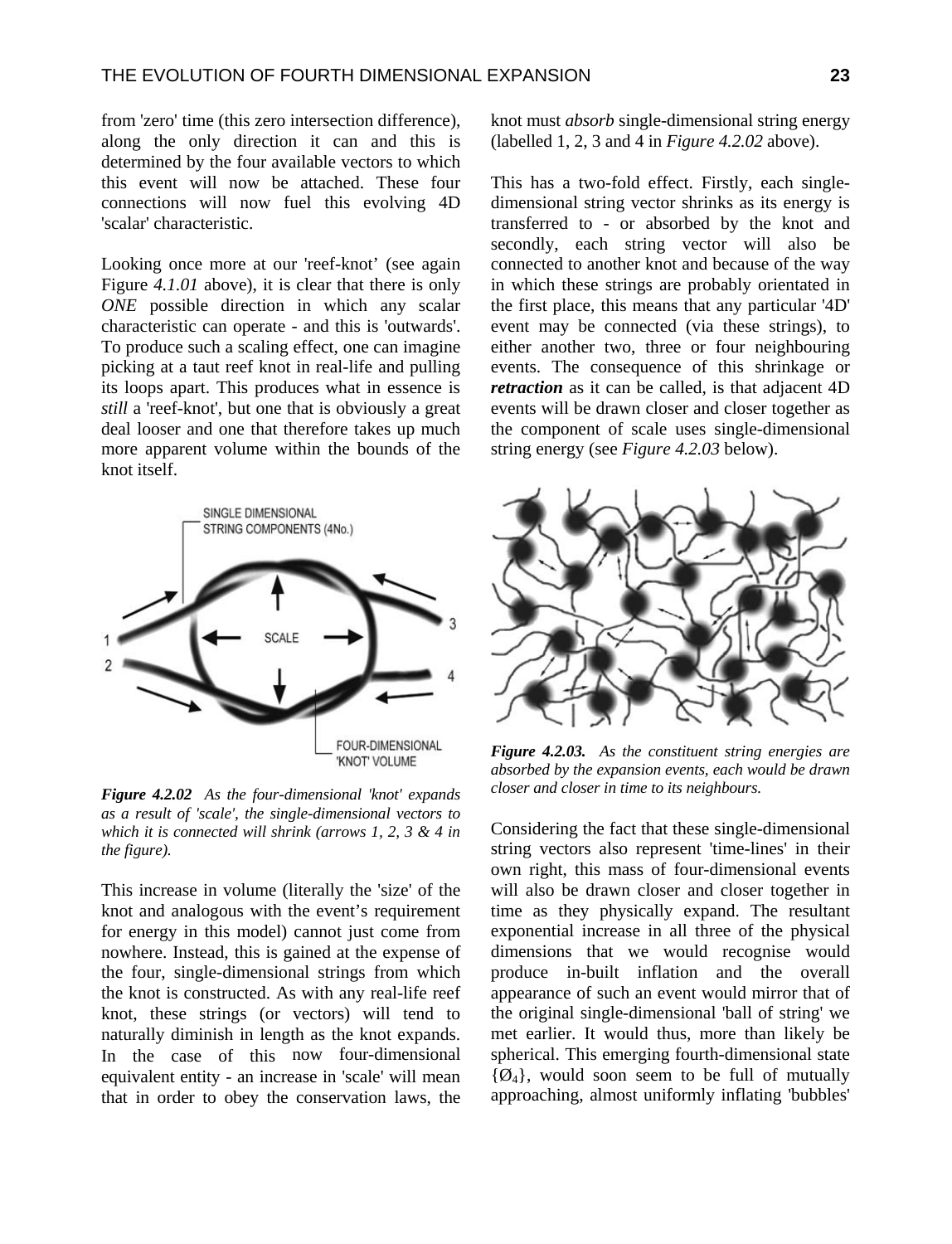from 'zero' time (this zero intersection difference), along the only direction it can and this is determined by the four available vectors to which this event will now be attached. These four connections will now fuel this evolving 4D 'scalar' characteristic.

Looking once more at our 'reef-knot' (see again Figure *4.1.01* above), it is clear that there is only *ONE* possible direction in which any scalar characteristic can operate - and this is 'outwards'. To produce such a scaling effect, one can imagine picking at a taut reef knot in real-life and pulling its loops apart. This produces what in essence is *still* a 'reef-knot', but one that is obviously a great deal looser and one that therefore takes up much more apparent volume within the bounds of the knot itself.



*Figure 4.2.02 As the four-dimensional 'knot' expands as a result of 'scale', the single-dimensional vectors to which it is connected will shrink (arrows 1, 2, 3 & 4 in the figure).* 

This increase in volume (literally the 'size' of the knot and analogous with the event's requirement for energy in this model) cannot just come from nowhere. Instead, this is gained at the expense of the four, single-dimensional strings from which the knot is constructed. As with any real-life reef knot, these strings (or vectors) will tend to naturally diminish in length as the knot expands. In the case of this now four-dimensional equivalent entity - an increase in 'scale' will mean that in order to obey the conservation laws, the knot must *absorb* single-dimensional string energy (labelled 1, 2, 3 and 4 in *Figure 4.2.02* above).

This has a two-fold effect. Firstly, each singledimensional string vector shrinks as its energy is transferred to - or absorbed by the knot and secondly, each string vector will also be connected to another knot and because of the way in which these strings are probably orientated in the first place, this means that any particular '4D' event may be connected (via these strings), to either another two, three or four neighbouring events. The consequence of this shrinkage or *retraction* as it can be called, is that adjacent 4D events will be drawn closer and closer together as the component of scale uses single-dimensional string energy (see *Figure 4.2.03* below).



*Figure 4.2.03. As the constituent string energies are absorbed by the expansion events, each would be drawn closer and closer in time to its neighbours.*

Considering the fact that these single-dimensional string vectors also represent 'time-lines' in their own right, this mass of four-dimensional events will also be drawn closer and closer together in time as they physically expand. The resultant exponential increase in all three of the physical dimensions that we would recognise would produce in-built inflation and the overall appearance of such an event would mirror that of the original single-dimensional 'ball of string' we met earlier. It would thus, more than likely be spherical. This emerging fourth-dimensional state  $\{\phi_4\}$ , would soon seem to be full of mutually approaching, almost uniformly inflating 'bubbles'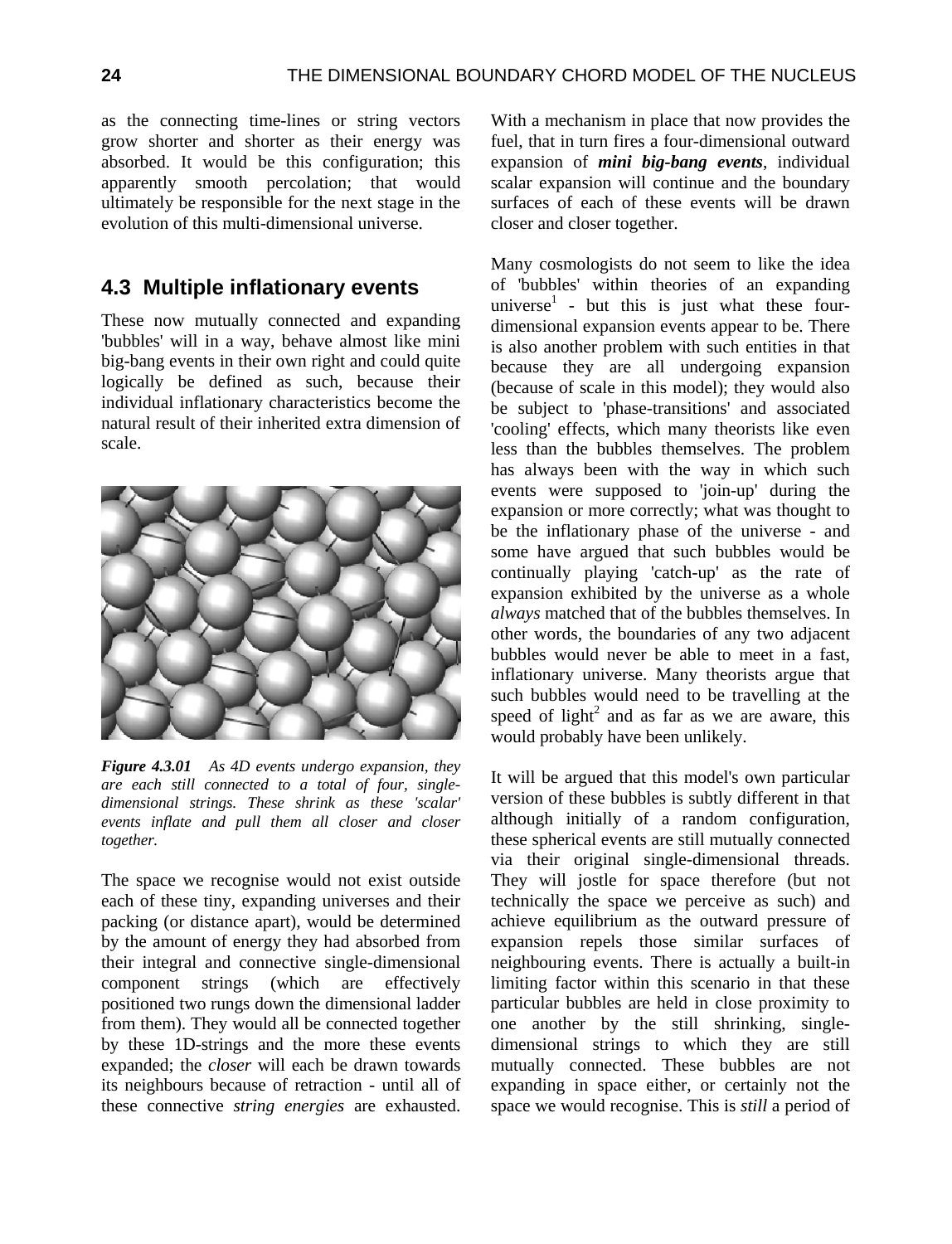as the connecting time-lines or string vectors grow shorter and shorter as their energy was absorbed. It would be this configuration; this apparently smooth percolation; that would ultimately be responsible for the next stage in the evolution of this multi-dimensional universe.

## **4.3 Multiple inflationary events**

These now mutually connected and expanding 'bubbles' will in a way, behave almost like mini big-bang events in their own right and could quite logically be defined as such, because their individual inflationary characteristics become the natural result of their inherited extra dimension of scale.



*Figure 4.3.01 As 4D events undergo expansion, they are each still connected to a total of four, singledimensional strings. These shrink as these 'scalar' events inflate and pull them all closer and closer together.*

The space we recognise would not exist outside each of these tiny, expanding universes and their packing (or distance apart), would be determined by the amount of energy they had absorbed from their integral and connective single-dimensional component strings (which are effectively positioned two rungs down the dimensional ladder from them). They would all be connected together by these 1D-strings and the more these events expanded; the *closer* will each be drawn towards its neighbours because of retraction - until all of these connective *string energies* are exhausted. With a mechanism in place that now provides the fuel, that in turn fires a four-dimensional outward expansion of *mini big-bang events*, individual scalar expansion will continue and the boundary surfaces of each of these events will be drawn closer and closer together.

Many cosmologists do not seem to like the idea of 'bubbles' within theories of an expanding universe<sup>1</sup> - but this is just what these fourdimensional expansion events appear to be. There is also another problem with such entities in that because they are all undergoing expansion (because of scale in this model); they would also be subject to 'phase-transitions' and associated 'cooling' effects, which many theorists like even less than the bubbles themselves. The problem has always been with the way in which such events were supposed to 'join-up' during the expansion or more correctly; what was thought to be the inflationary phase of the universe - and some have argued that such bubbles would be continually playing 'catch-up' as the rate of expansion exhibited by the universe as a whole *always* matched that of the bubbles themselves. In other words, the boundaries of any two adjacent bubbles would never be able to meet in a fast, inflationary universe. Many theorists argue that such bubbles would need to be travelling at the speed of light<sup>2</sup> and as far as we are aware, this would probably have been unlikely.

It will be argued that this model's own particular version of these bubbles is subtly different in that although initially of a random configuration, these spherical events are still mutually connected via their original single-dimensional threads. They will jostle for space therefore (but not technically the space we perceive as such) and achieve equilibrium as the outward pressure of expansion repels those similar surfaces of neighbouring events. There is actually a built-in limiting factor within this scenario in that these particular bubbles are held in close proximity to one another by the still shrinking, singledimensional strings to which they are still mutually connected. These bubbles are not expanding in space either, or certainly not the space we would recognise. This is *still* a period of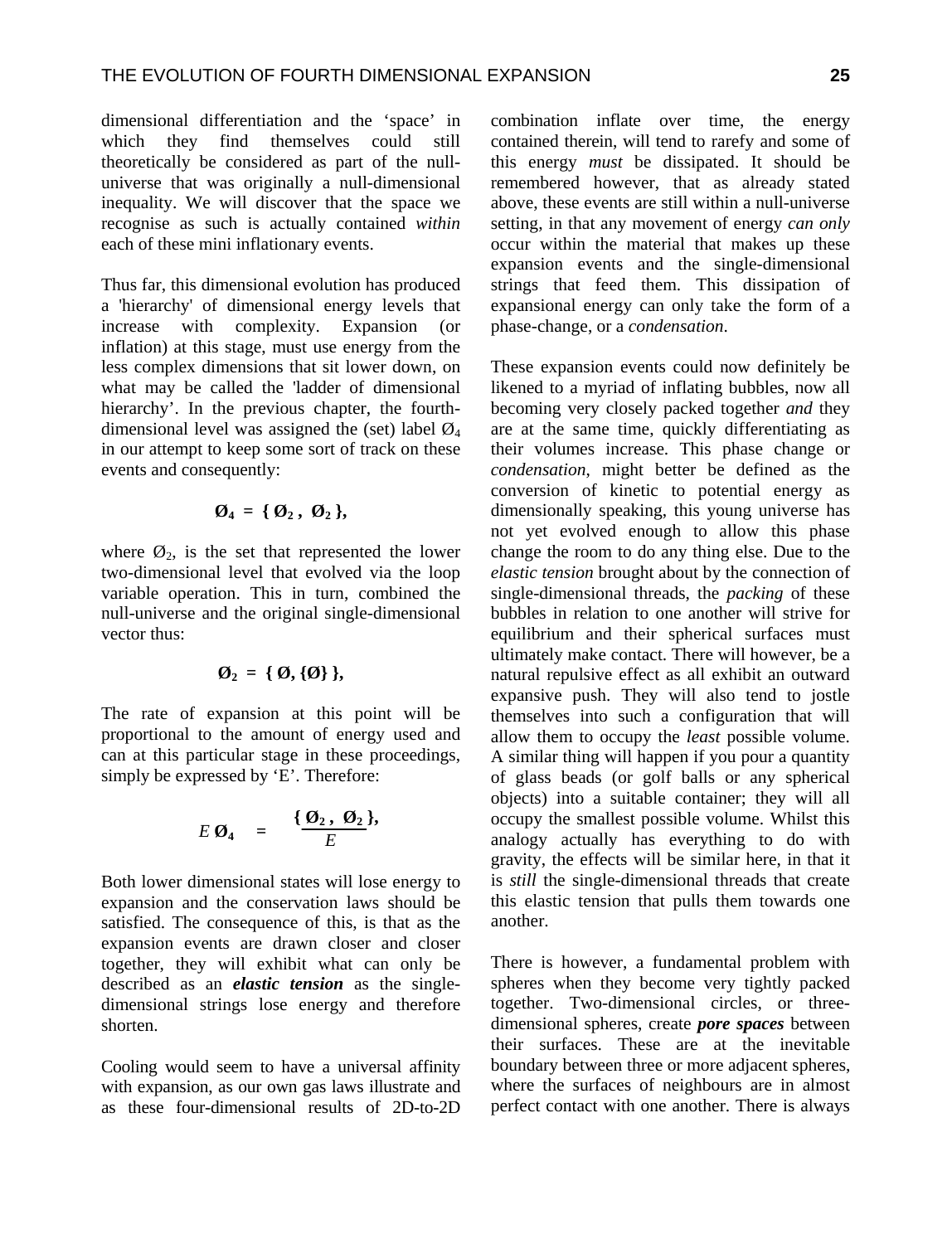dimensional differentiation and the 'space' in which they find themselves could still theoretically be considered as part of the nulluniverse that was originally a null-dimensional inequality. We will discover that the space we recognise as such is actually contained *within* each of these mini inflationary events.

Thus far, this dimensional evolution has produced a 'hierarchy' of dimensional energy levels that increase with complexity. Expansion (or inflation) at this stage, must use energy from the less complex dimensions that sit lower down, on what may be called the 'ladder of dimensional hierarchy'. In the previous chapter, the fourthdimensional level was assigned the (set) label  $\mathcal{O}_4$ in our attempt to keep some sort of track on these events and consequently:

$$
\emptyset_4 = \{ \emptyset_2, \emptyset_2 \},
$$

where  $\mathcal{O}_2$ , is the set that represented the lower two-dimensional level that evolved via the loop variable operation. This in turn, combined the null-universe and the original single-dimensional vector thus:

$$
\emptyset_2 = \{ \emptyset, \{ \emptyset \} \},
$$

The rate of expansion at this point will be proportional to the amount of energy used and can at this particular stage in these proceedings, simply be expressed by 'E'. Therefore:

$$
E \, \mathcal{O}_4 \quad = \quad \frac{\{\mathcal{O}_2, \ \mathcal{O}_2\}}{E},
$$

Both lower dimensional states will lose energy to expansion and the conservation laws should be satisfied. The consequence of this, is that as the expansion events are drawn closer and closer together, they will exhibit what can only be described as an *elastic tension* as the singledimensional strings lose energy and therefore shorten.

Cooling would seem to have a universal affinity with expansion, as our own gas laws illustrate and as these four-dimensional results of 2D-to-2D combination inflate over time, the energy contained therein, will tend to rarefy and some of this energy *must* be dissipated. It should be remembered however, that as already stated above, these events are still within a null-universe setting, in that any movement of energy *can only* occur within the material that makes up these expansion events and the single-dimensional strings that feed them. This dissipation of expansional energy can only take the form of a phase-change, or a *condensation*.

These expansion events could now definitely be likened to a myriad of inflating bubbles, now all becoming very closely packed together *and* they are at the same time, quickly differentiating as their volumes increase. This phase change or *condensation*, might better be defined as the conversion of kinetic to potential energy as dimensionally speaking, this young universe has not yet evolved enough to allow this phase change the room to do any thing else. Due to the *elastic tension* brought about by the connection of single-dimensional threads, the *packing* of these bubbles in relation to one another will strive for equilibrium and their spherical surfaces must ultimately make contact. There will however, be a natural repulsive effect as all exhibit an outward expansive push. They will also tend to jostle themselves into such a configuration that will allow them to occupy the *least* possible volume. A similar thing will happen if you pour a quantity of glass beads (or golf balls or any spherical objects) into a suitable container; they will all occupy the smallest possible volume. Whilst this analogy actually has everything to do with gravity, the effects will be similar here, in that it is *still* the single-dimensional threads that create this elastic tension that pulls them towards one another.

There is however, a fundamental problem with spheres when they become very tightly packed together. Two-dimensional circles, or threedimensional spheres, create *pore spaces* between their surfaces. These are at the inevitable boundary between three or more adjacent spheres, where the surfaces of neighbours are in almost perfect contact with one another. There is always